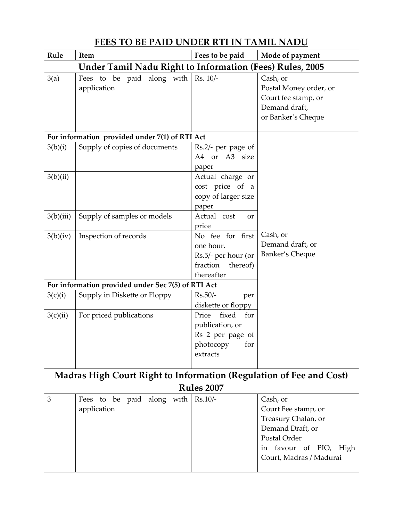## FEES TO BE PAID UNDER RTI IN TAMIL NADU

| Rule                                                                                            | Item                                      | Fees to be paid                                                                            | Mode of payment                                                                                                                                    |  |
|-------------------------------------------------------------------------------------------------|-------------------------------------------|--------------------------------------------------------------------------------------------|----------------------------------------------------------------------------------------------------------------------------------------------------|--|
| <b>Under Tamil Nadu Right to Information (Fees) Rules, 2005</b>                                 |                                           |                                                                                            |                                                                                                                                                    |  |
| 3(a)                                                                                            | Fees to be paid along with<br>application | $Rs. 10/-$                                                                                 | Cash, or<br>Postal Money order, or<br>Court fee stamp, or<br>Demand draft,<br>or Banker's Cheque                                                   |  |
| For information provided under 7(1) of RTI Act                                                  |                                           |                                                                                            |                                                                                                                                                    |  |
| 3(b)(i)                                                                                         | Supply of copies of documents             | Rs.2/- per page of<br>A4 or A3 size<br>paper                                               |                                                                                                                                                    |  |
| 3(b)(ii)                                                                                        |                                           | Actual charge or<br>cost price of a<br>copy of larger size<br>paper                        |                                                                                                                                                    |  |
| 3(b)(iii)                                                                                       | Supply of samples or models               | Actual cost<br>or<br>price                                                                 |                                                                                                                                                    |  |
| 3(b)(iv)                                                                                        | Inspection of records                     | No fee for first<br>one hour.<br>Rs.5/- per hour (or<br>fraction<br>thereof)<br>thereafter | Cash, or<br>Demand draft, or<br>Banker's Cheque                                                                                                    |  |
| For information provided under Sec 7(5) of RTI Act                                              |                                           |                                                                                            |                                                                                                                                                    |  |
| 3(c)(i)                                                                                         | Supply in Diskette or Floppy              | $Rs.50/-$<br>per<br>diskette or floppy                                                     |                                                                                                                                                    |  |
| 3(c)(ii)                                                                                        | For priced publications                   | fixed<br>Price<br>for<br>publication, or<br>Rs 2 per page of<br>photocopy for<br>extracts  |                                                                                                                                                    |  |
| <b>Madras High Court Right to Information (Regulation of Fee and Cost)</b><br><b>Rules 2007</b> |                                           |                                                                                            |                                                                                                                                                    |  |
| 3                                                                                               | Fees to be paid along with<br>application | $Rs.10/-$                                                                                  | Cash, or<br>Court Fee stamp, or<br>Treasury Chalan, or<br>Demand Draft, or<br>Postal Order<br>favour of PIO, High<br>1n<br>Court, Madras / Madurai |  |